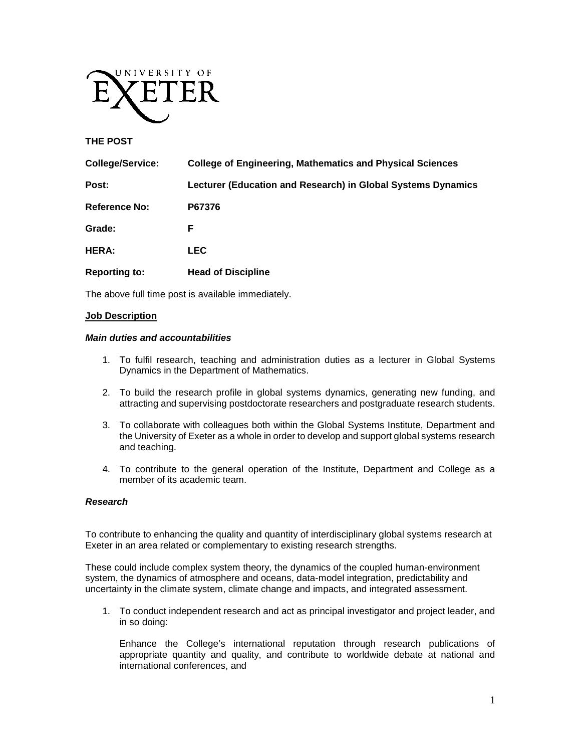

### **THE POST**

| <b>College/Service:</b> | College of Engineering, Mathematics and Physical Sciences    |
|-------------------------|--------------------------------------------------------------|
| Post:                   | Lecturer (Education and Research) in Global Systems Dynamics |
| <b>Reference No:</b>    | P67376                                                       |
| Grade:                  | F                                                            |
| HERA:                   | <b>LEC</b>                                                   |
| <b>Reporting to:</b>    | <b>Head of Discipline</b>                                    |

The above full time post is available immediately.

#### **Job Description**

#### *Main duties and accountabilities*

- 1. To fulfil research, teaching and administration duties as a lecturer in Global Systems Dynamics in the Department of Mathematics.
- 2. To build the research profile in global systems dynamics, generating new funding, and attracting and supervising postdoctorate researchers and postgraduate research students.
- 3. To collaborate with colleagues both within the Global Systems Institute, Department and the University of Exeter as a whole in order to develop and support global systems research and teaching.
- 4. To contribute to the general operation of the Institute, Department and College as a member of its academic team.

#### *Research*

To contribute to enhancing the quality and quantity of interdisciplinary global systems research at Exeter in an area related or complementary to existing research strengths.

These could include complex system theory, the dynamics of the coupled human-environment system, the dynamics of atmosphere and oceans, data-model integration, predictability and uncertainty in the climate system, climate change and impacts, and integrated assessment.

1. To conduct independent research and act as principal investigator and project leader, and in so doing:

Enhance the College's international reputation through research publications of appropriate quantity and quality, and contribute to worldwide debate at national and international conferences, and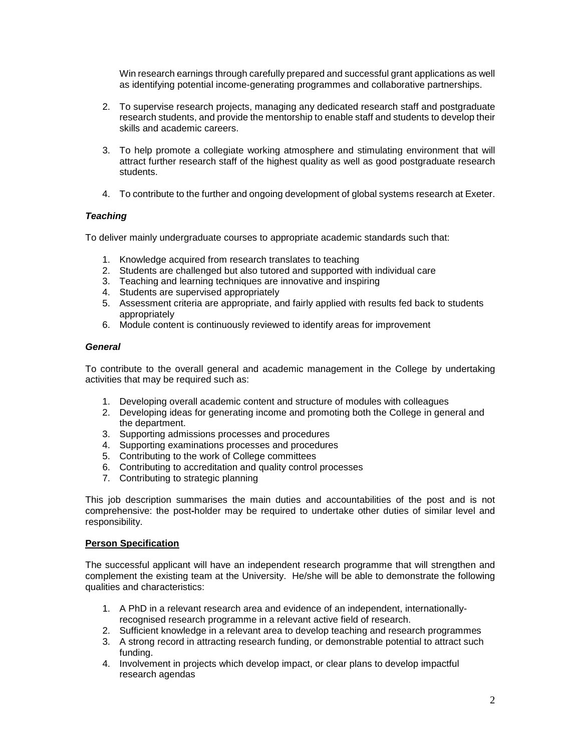Win research earnings through carefully prepared and successful grant applications as well as identifying potential income-generating programmes and collaborative partnerships.

- 2. To supervise research projects, managing any dedicated research staff and postgraduate research students, and provide the mentorship to enable staff and students to develop their skills and academic careers.
- 3. To help promote a collegiate working atmosphere and stimulating environment that will attract further research staff of the highest quality as well as good postgraduate research students.
- 4. To contribute to the further and ongoing development of global systems research at Exeter.

# *Teaching*

To deliver mainly undergraduate courses to appropriate academic standards such that:

- 1. Knowledge acquired from research translates to teaching
- 2. Students are challenged but also tutored and supported with individual care
- 3. Teaching and learning techniques are innovative and inspiring
- 4. Students are supervised appropriately
- 5. Assessment criteria are appropriate, and fairly applied with results fed back to students appropriately
- 6. Module content is continuously reviewed to identify areas for improvement

## *General*

To contribute to the overall general and academic management in the College by undertaking activities that may be required such as:

- 1. Developing overall academic content and structure of modules with colleagues
- 2. Developing ideas for generating income and promoting both the College in general and the department.
- 3. Supporting admissions processes and procedures
- 4. Supporting examinations processes and procedures
- 5. Contributing to the work of College committees
- 6. Contributing to accreditation and quality control processes
- 7. Contributing to strategic planning

This job description summarises the main duties and accountabilities of the post and is not comprehensive: the post**-**holder may be required to undertake other duties of similar level and responsibility.

# **Person Specification**

The successful applicant will have an independent research programme that will strengthen and complement the existing team at the University. He/she will be able to demonstrate the following qualities and characteristics:

- 1. A PhD in a relevant research area and evidence of an independent, internationallyrecognised research programme in a relevant active field of research.
- 2. Sufficient knowledge in a relevant area to develop teaching and research programmes
- 3. A strong record in attracting research funding, or demonstrable potential to attract such funding.
- 4. Involvement in projects which develop impact, or clear plans to develop impactful research agendas